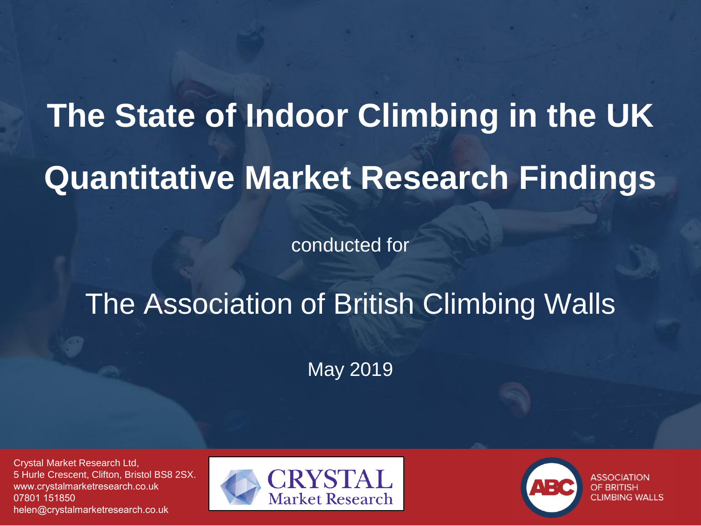## **The State of Indoor Climbing in the UK Quantitative Market Research Findings**

conducted for

## The Association of British Climbing Walls

May 2019

Crystal Market Research Ltd, 5 Hurle Crescent, Clifton, Bristol BS8 2SX. www.crystalmarketresearch.co.uk 07801 151850 helen@crystalmarketresearch.co.uk





**ASSOCIATION** OF BRITISH **CLIMBING WALLS**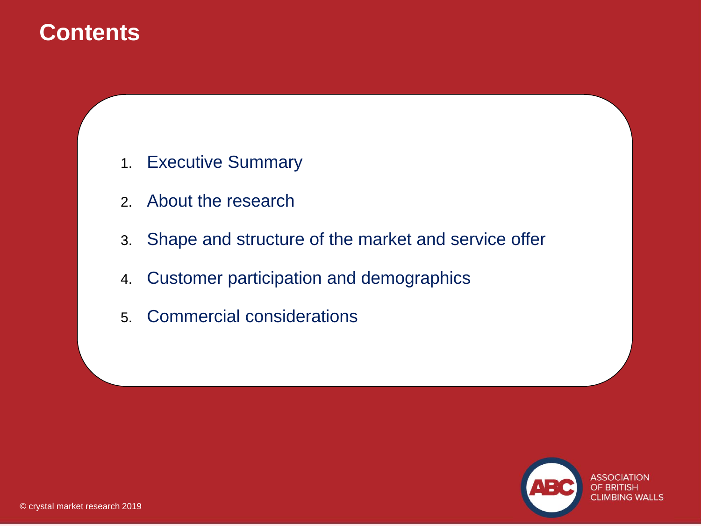## **Contents**

- 1. Executive Summary
- 2. About the research
- 3. Shape and structure of the market and service offer
- 4. Customer participation and demographics
- 5. Commercial considerations

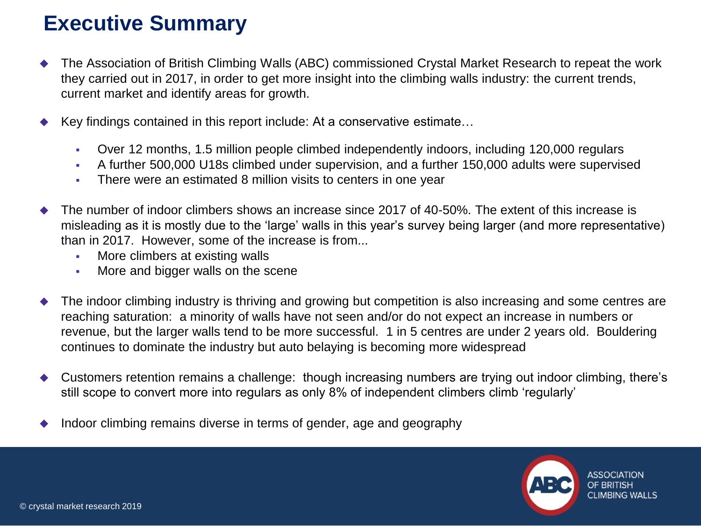## **Executive Summary**

- The Association of British Climbing Walls (ABC) commissioned Crystal Market Research to repeat the work they carried out in 2017, in order to get more insight into the climbing walls industry: the current trends, current market and identify areas for growth.
- Key findings contained in this report include: At a conservative estimate...
	- Over 12 months, 1.5 million people climbed independently indoors, including 120,000 regulars
	- A further 500,000 U18s climbed under supervision, and a further 150,000 adults were supervised
	- **•** There were an estimated 8 million visits to centers in one year
- The number of indoor climbers shows an increase since 2017 of 40-50%. The extent of this increase is misleading as it is mostly due to the 'large' walls in this year's survey being larger (and more representative) than in 2017. However, some of the increase is from...
	- **More climbers at existing walls**
	- **More and bigger walls on the scene**
- The indoor climbing industry is thriving and growing but competition is also increasing and some centres are reaching saturation: a minority of walls have not seen and/or do not expect an increase in numbers or revenue, but the larger walls tend to be more successful. 1 in 5 centres are under 2 years old. Bouldering continues to dominate the industry but auto belaying is becoming more widespread
- Customers retention remains a challenge: though increasing numbers are trying out indoor climbing, there's still scope to convert more into regulars as only 8% of independent climbers climb 'regularly'
- Indoor climbing remains diverse in terms of gender, age and geography

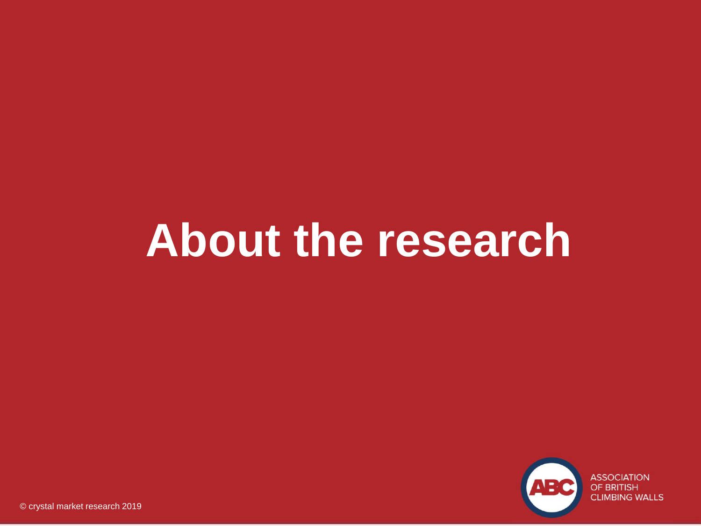## **About the research**

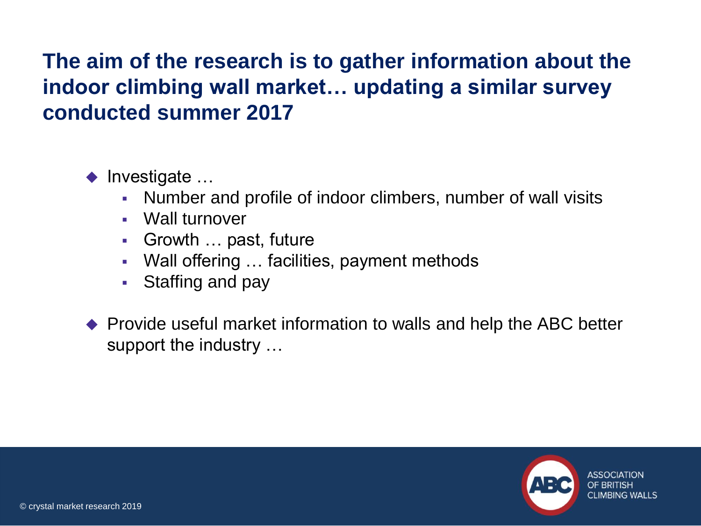## **The aim of the research is to gather information about the indoor climbing wall market… updating a similar survey conducted summer 2017**

 $\blacklozenge$  Investigate ...

- Number and profile of indoor climbers, number of wall visits
- Wall turnover
- Growth … past, future
- Wall offering ... facilities, payment methods
- Staffing and pay
- ◆ Provide useful market information to walls and help the ABC better support the industry …

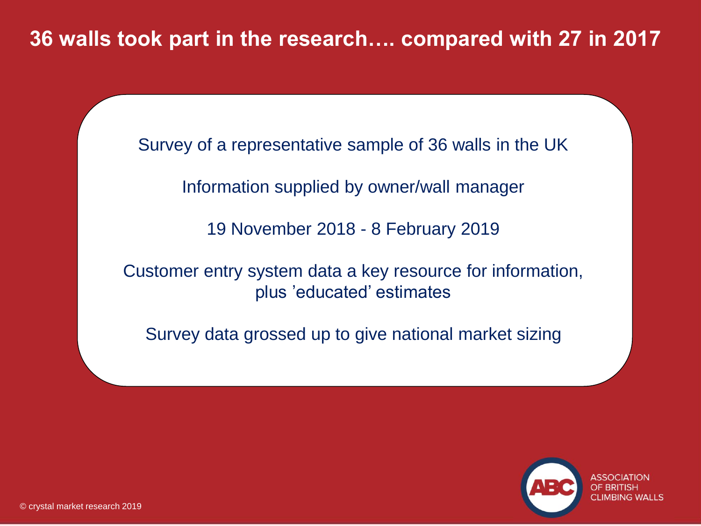## **36 walls took part in the research…. compared with 27 in 2017**

Survey of a representative sample of 36 walls in the UK

Information supplied by owner/wall manager

19 November 2018 - 8 February 2019

Customer entry system data a key resource for information, plus 'educated' estimates

Survey data grossed up to give national market sizing

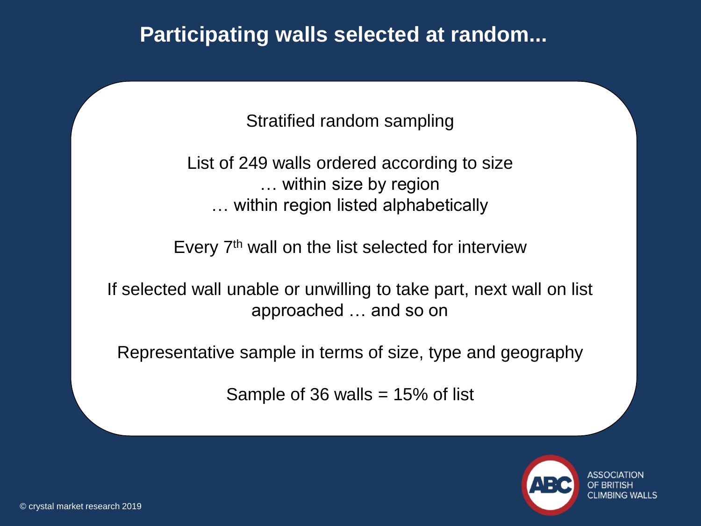## **Participating walls selected at random...**

Stratified random sampling

List of 249 walls ordered according to size … within size by region … within region listed alphabetically

Every 7th wall on the list selected for interview

If selected wall unable or unwilling to take part, next wall on list approached … and so on

Representative sample in terms of size, type and geography

Sample of 36 walls  $= 15\%$  of list

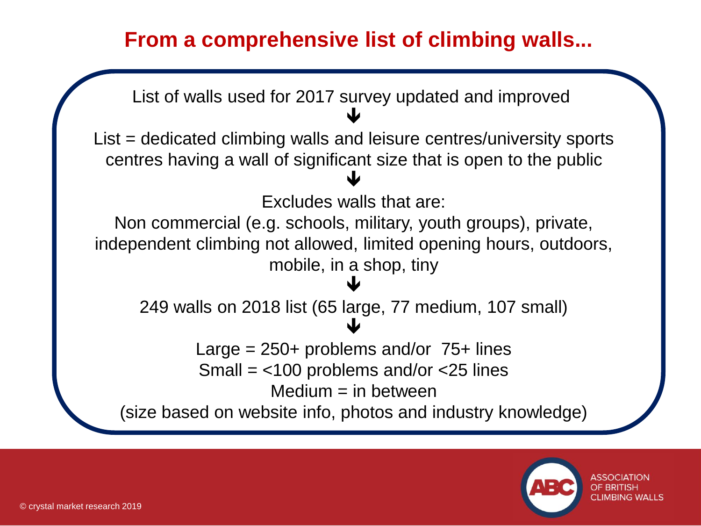## **From a comprehensive list of climbing walls...**



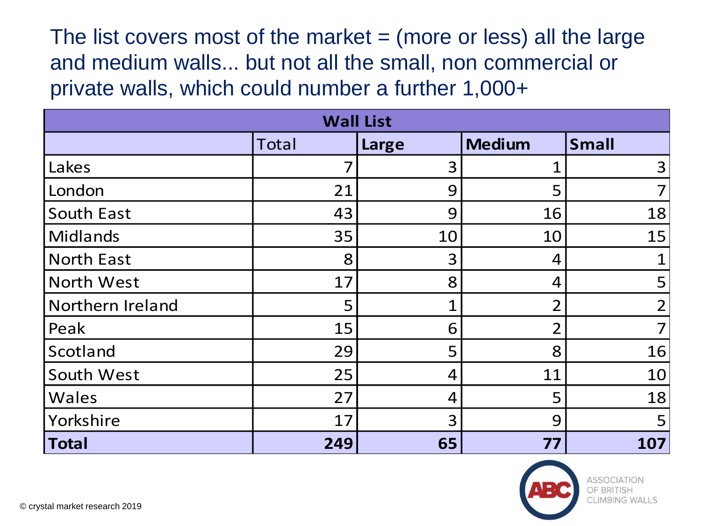The list covers most of the market  $=$  (more or less) all the large and medium walls... but not all the small, non commercial or private walls, which could number a further 1,000+

| <b>Wall List</b>  |              |                |               |                |
|-------------------|--------------|----------------|---------------|----------------|
|                   | <b>Total</b> | Large          | <b>Medium</b> | <b>Small</b>   |
| Lakes             | 7            | 3              |               | $\overline{3}$ |
| London            | 21           | 9              | 5             | $\overline{7}$ |
| South East        | 43           | 9              | 16            | 18             |
| <b>Midlands</b>   | 35           | 10             | 10            | 15             |
| <b>North East</b> | 8            | 3              | 4             | $\mathbf{1}$   |
| North West        | 17           | 8              | 4             | 5              |
| Northern Ireland  | 5            | 1              | $\mathcal{P}$ | $\overline{2}$ |
| Peak              | 15           | 6              | つ             | $\overline{7}$ |
| Scotland          | 29           | 5              | 8             | 16             |
| South West        | 25           | 4              | 11            | 10             |
| Wales             | 27           | $\overline{4}$ | 5             | 18             |
| Yorkshire         | 17           | 3              | 9             | 5              |
| <b>Total</b>      | 249          | 65             | 77            | 107            |

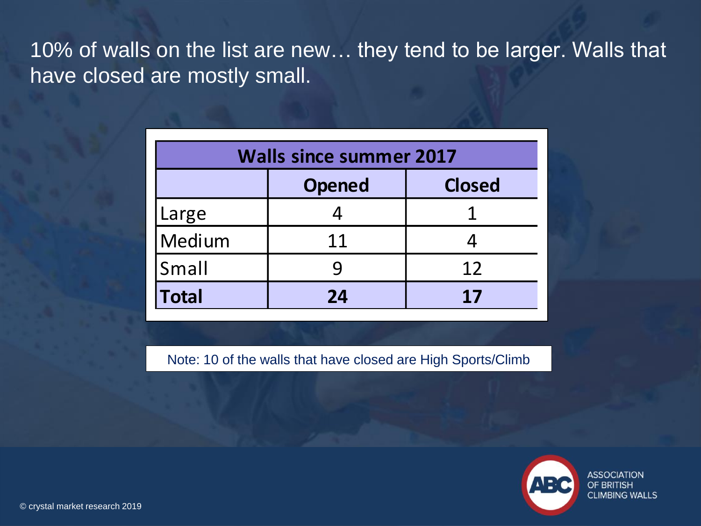10% of walls on the list are new… they tend to be larger. Walls that have closed are mostly small.

| <b>Walls since summer 2017</b> |                                |    |  |  |  |
|--------------------------------|--------------------------------|----|--|--|--|
|                                | <b>Closed</b><br><b>Opened</b> |    |  |  |  |
| Large                          |                                |    |  |  |  |
| Medium                         | 11                             |    |  |  |  |
| Small                          |                                | 12 |  |  |  |
| <b>Total</b><br>24<br>17       |                                |    |  |  |  |

Note: 10 of the walls that have closed are High Sports/Climb



**ASSOCIATION** OF BRITISH **CLIMBING WALLS**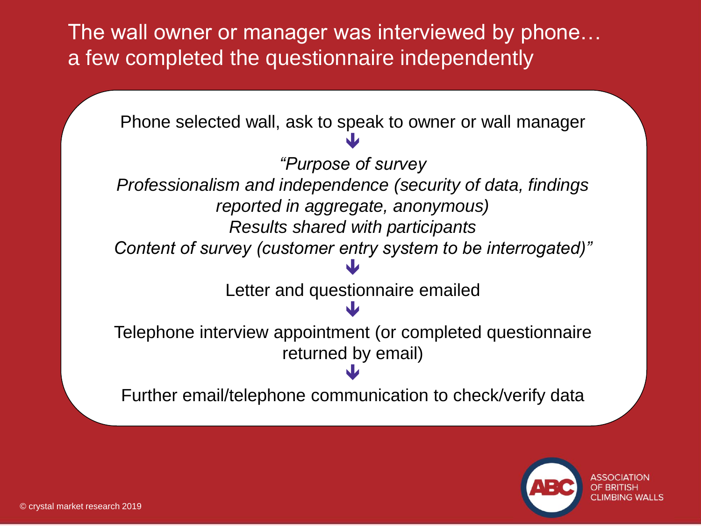The wall owner or manager was interviewed by phone… a few completed the questionnaire independently



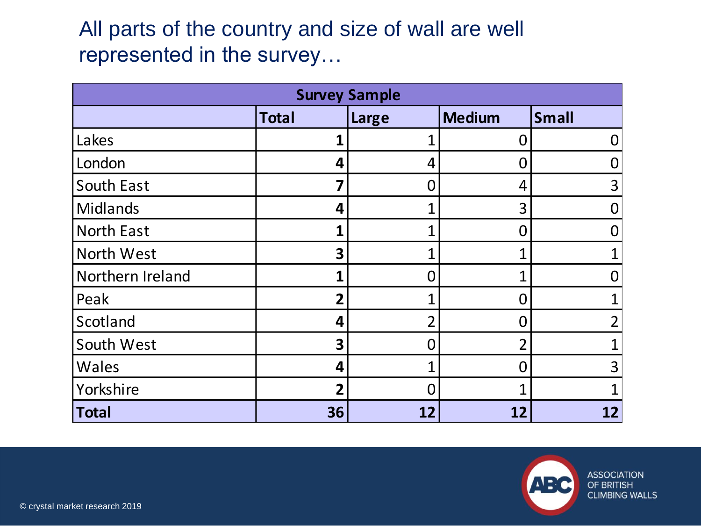## All parts of the country and size of wall are well represented in the survey…

| <b>Survey Sample</b> |                |                |               |              |
|----------------------|----------------|----------------|---------------|--------------|
|                      | <b>Total</b>   | Large          | <b>Medium</b> | <b>Small</b> |
| Lakes                | 1              |                | O             |              |
| London               | 4              | 4              |               |              |
| South East           | 7              | 0              | 4             | 3            |
| Midlands             | 4              | 1              | 3             |              |
| <b>North East</b>    | 1              | 1              |               |              |
| North West           | 3              | 1              |               |              |
| Northern Ireland     | 1              | 0              |               |              |
| Peak                 | $\overline{2}$ | 1              |               |              |
| Scotland             | 4              | $\overline{2}$ |               | າ            |
| South West           | 3              | 0              |               |              |
| Wales                | 4              | 1              |               | 3            |
| Yorkshire            | $\overline{2}$ | Ω              |               |              |
| <b>Total</b>         | 36             | 12             | 12            | 12           |

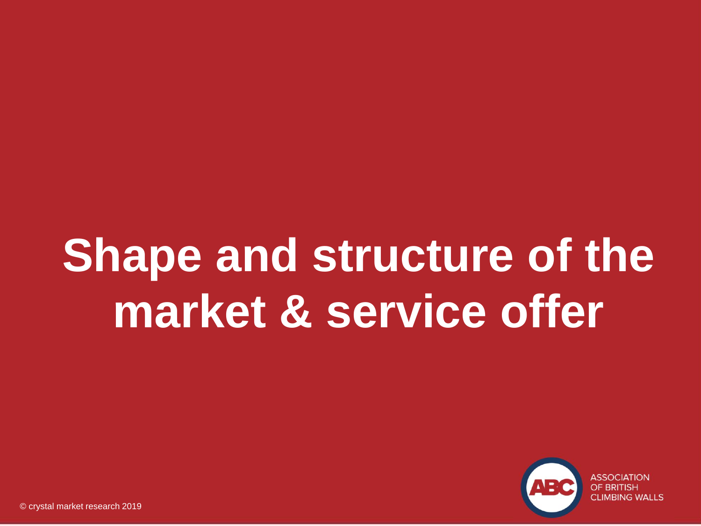# **Shape and structure of the market & service offer**

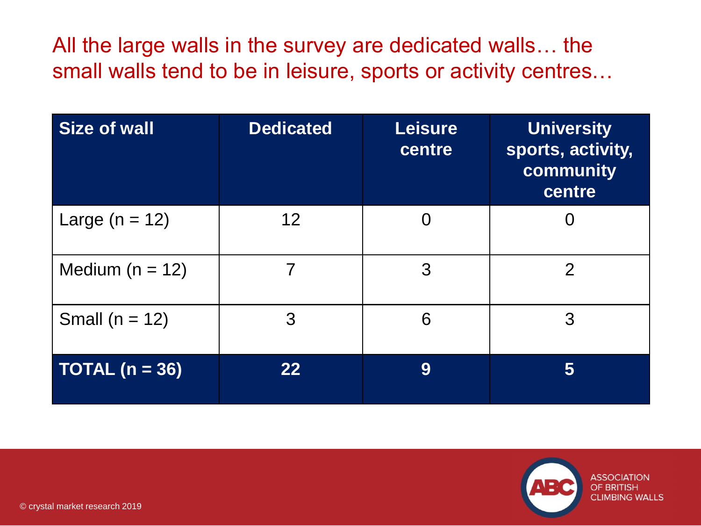All the large walls in the survey are dedicated walls… the small walls tend to be in leisure, sports or activity centres…

| Size of wall        | <b>Dedicated</b> | <b>Leisure</b><br>centre | <b>University</b><br>sports, activity,<br>community<br>centre |
|---------------------|------------------|--------------------------|---------------------------------------------------------------|
| Large $(n = 12)$    | 12               | $\Omega$                 |                                                               |
| Medium ( $n = 12$ ) |                  | 3                        | $\overline{2}$                                                |
| Small ( $n = 12$ )  | 3                | 6                        | 3                                                             |
| TOTAL $(n = 36)$    | 22               | 9                        | 5                                                             |

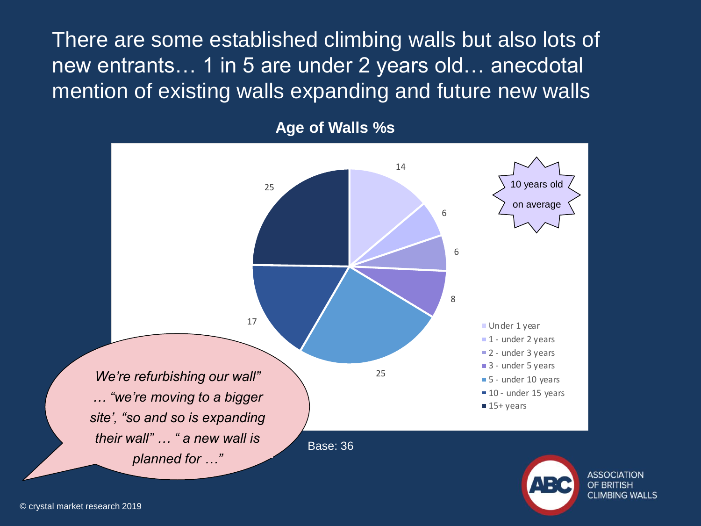There are some established climbing walls but also lots of new entrants… 1 in 5 are under 2 years old… anecdotal mention of existing walls expanding and future new walls



**Age of Walls %s**



**ASSOCIATION** OF BRITISH **CLIMBING WALLS**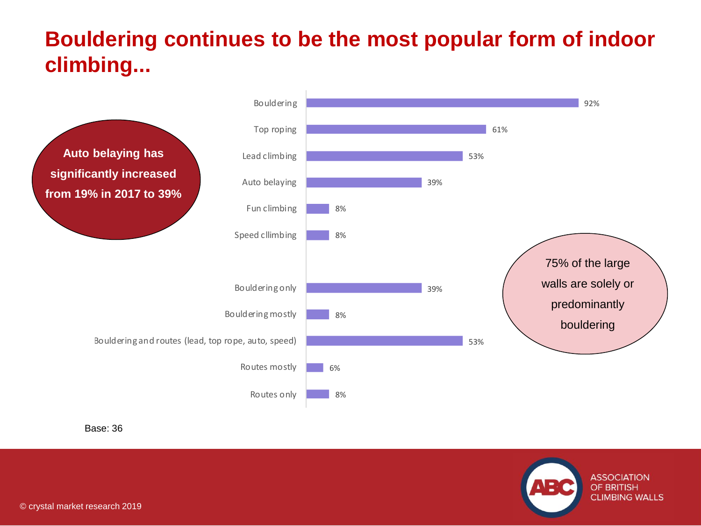## **Bouldering continues to be the most popular form of indoor climbing...**



Base: 36

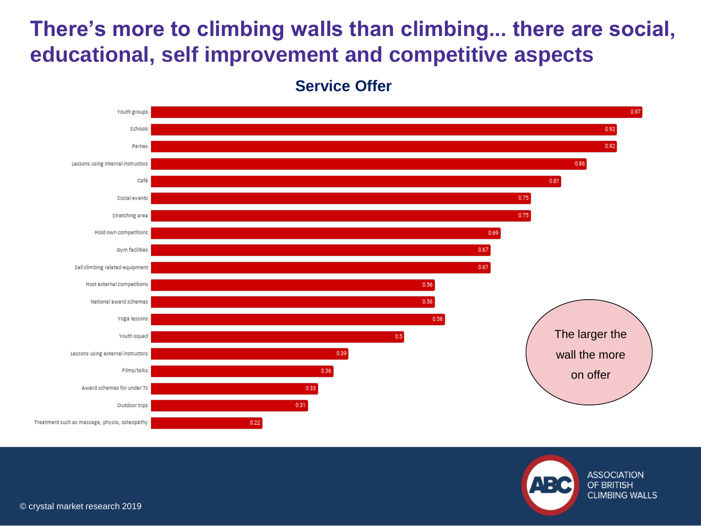## **There's more to climbing walls than climbing... there are social, educational, self improvement and competitive aspects**





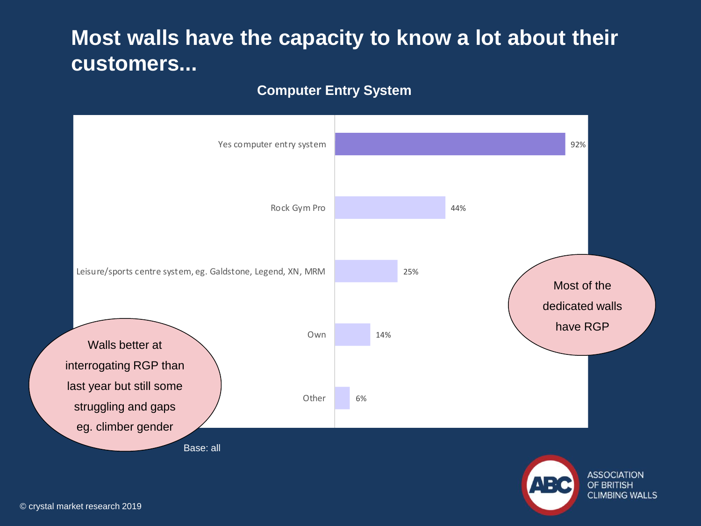## **Most walls have the capacity to know a lot about their customers...**

#### **Computer Entry System**

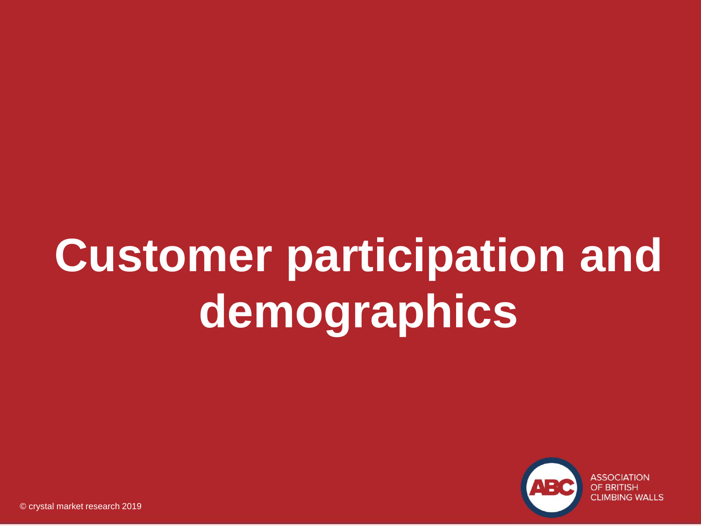# **Customer participation and demographics**

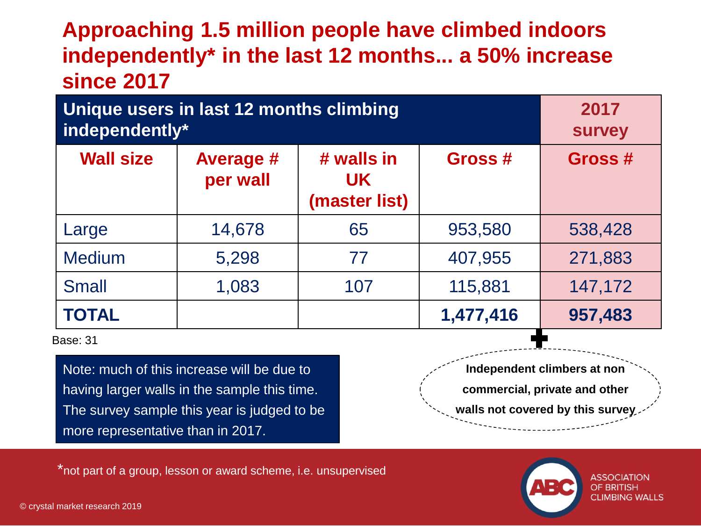## **Approaching 1.5 million people have climbed indoors independently\* in the last 12 months... a 50% increase since 2017**

| Unique users in last 12 months climbing<br>independently* | 2017<br><b>Survey</b> |     |           |         |
|-----------------------------------------------------------|-----------------------|-----|-----------|---------|
| <b>Wall size</b>                                          | Gross #               |     |           |         |
| Large                                                     | 14,678                | 65  | 953,580   | 538,428 |
| <b>Medium</b>                                             | 5,298                 | 77  | 407,955   | 271,883 |
| <b>Small</b>                                              | 1,083                 | 107 | 115,881   | 147,172 |
| <b>TOTAL</b>                                              |                       |     | 1,477,416 | 957,483 |

Base: 31

Note: much of this increase will be due to having larger walls in the sample this time. The survey sample this year is judged to be more representative than in 2017.

**Independent climbers at non commercial, private and other walls not covered by this survey**

\*not part of a group, lesson or award scheme, i.e. unsupervised

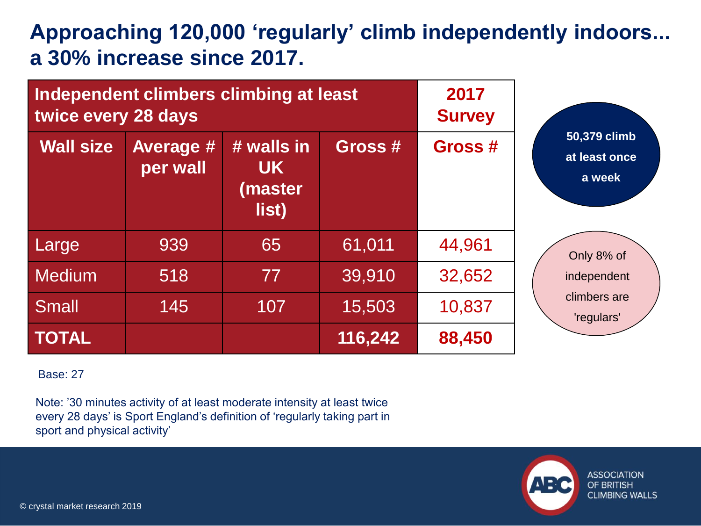## **Approaching 120,000 'regularly' climb independently indoors... a 30% increase since 2017.**

| twice every 28 days | Independent climbers climbing at least | 2017<br><b>Survey</b>                       |         |         |                                         |
|---------------------|----------------------------------------|---------------------------------------------|---------|---------|-----------------------------------------|
| <b>Wall size</b>    | <b>Average #</b><br>per wall           | # walls in<br><b>UK</b><br>(master<br>list) | Gross # | Gross # | 50,379 climb<br>at least once<br>a week |
| Large               | 939                                    | 65                                          | 61,011  | 44,961  | Only 8% of                              |
| <b>Medium</b>       | 518                                    | 77                                          | 39,910  | 32,652  | independent                             |
| <b>Small</b>        | 145                                    | 107                                         | 15,503  | 10,837  | climbers are<br>'regulars'              |
| <b>TOTAL</b>        |                                        |                                             | 116,242 | 88,450  |                                         |

Base: 27

Note: '30 minutes activity of at least moderate intensity at least twice every 28 days' is Sport England's definition of 'regularly taking part in sport and physical activity'

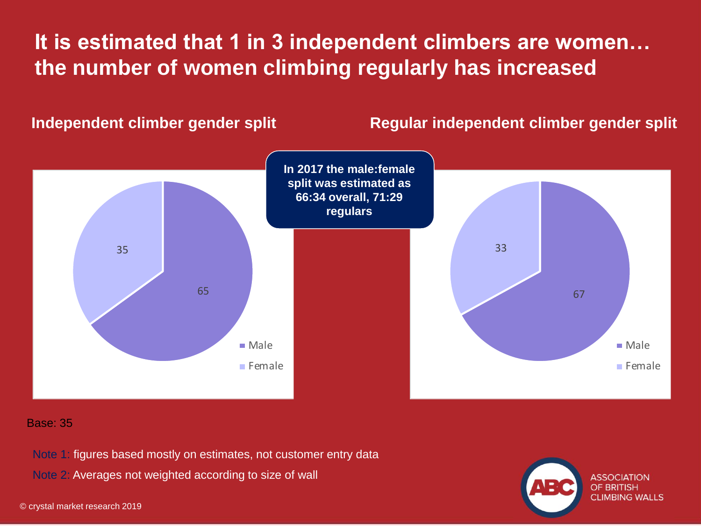## **It is estimated that 1 in 3 independent climbers are women… the number of women climbing regularly has increased**

#### **Independent climber gender split Regular independent climber gender split**



#### Base: 35

Note 1: figures based mostly on estimates, not customer entry data

Note 2: Averages not weighted according to size of wall

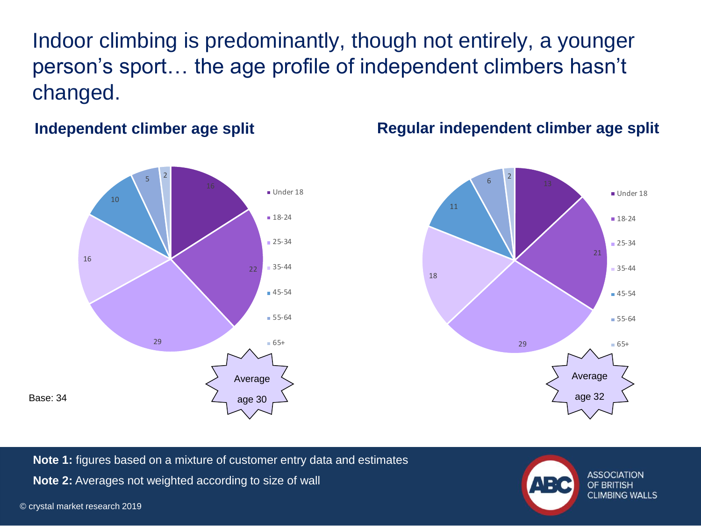Indoor climbing is predominantly, though not entirely, a younger person's sport… the age profile of independent climbers hasn't changed.



#### **Independent climber age split Regular independent climber age split**



**Note 1:** figures based on a mixture of customer entry data and estimates **Note 2:** Averages not weighted according to size of wall

**ASSOCIATION** OF BRITISH **CLIMBING WALLS**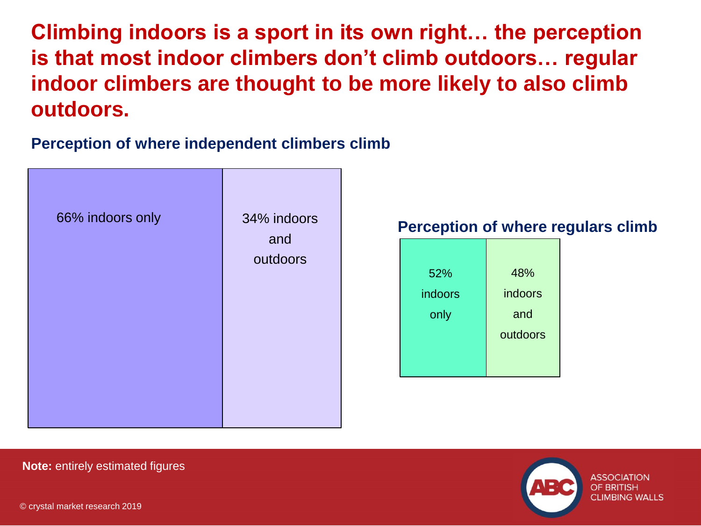**Climbing indoors is a sport in its own right… the perception is that most indoor climbers don't climb outdoors… regular indoor climbers are thought to be more likely to also climb outdoors.**

### **Perception of where independent climbers climb**









**Note:** entirely estimated figures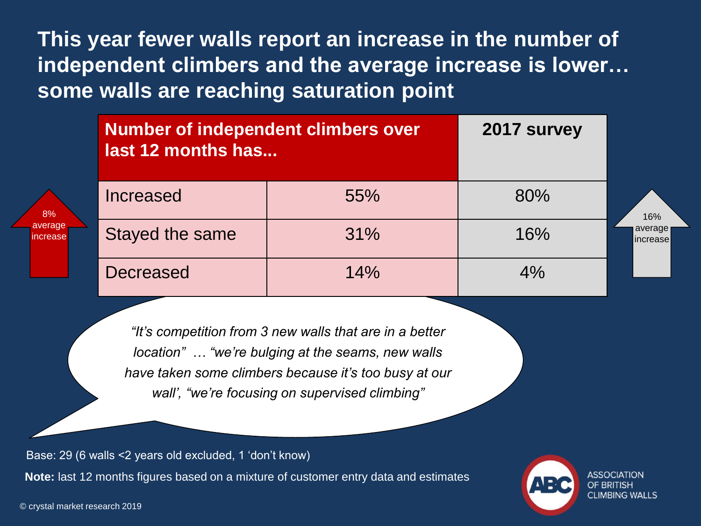**This year fewer walls report an increase in the number of independent climbers and the average increase is lower… some walls are reaching saturation point**

| <b>Number of independent climbers over</b><br>last 12 months has | 2017 survey |     |                     |
|------------------------------------------------------------------|-------------|-----|---------------------|
| <b>Increased</b>                                                 | 55%         | 80% | 16%                 |
| Stayed the same                                                  | 31%         | 16% | average<br>increase |
| <b>Decreased</b>                                                 | 14%         | 4%  |                     |

*"It's competition from 3 new walls that are in a better location" … "we're bulging at the seams, new walls have taken some climbers because it's too busy at our wall', "we're focusing on supervised climbing"*

Base: 29 (6 walls <2 years old excluded, 1 'don't know) **Note:** last 12 months figures based on a mixture of customer entry data and estimates



© crystal market research 2019

8% averac ncreas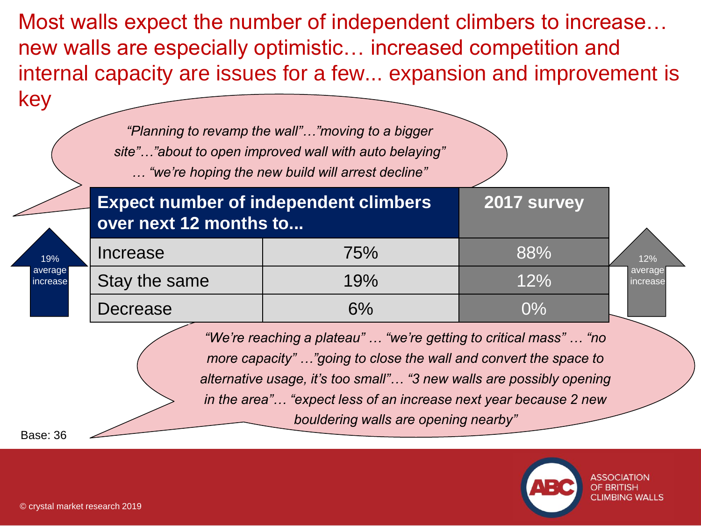Most walls expect the number of independent climbers to increase… new walls are especially optimistic… increased competition and internal capacity are issues for a few... expansion and improvement is key

|                     | "Planning to revamp the wall""moving to a bigger<br>site""about to open improved wall with auto belaying"<br>"we're hoping the new build will arrest decline"                                                                                                                                                             |     |             |                     |  |
|---------------------|---------------------------------------------------------------------------------------------------------------------------------------------------------------------------------------------------------------------------------------------------------------------------------------------------------------------------|-----|-------------|---------------------|--|
|                     | <b>Expect number of independent climbers</b><br>over next 12 months to                                                                                                                                                                                                                                                    |     | 2017 survey |                     |  |
| 19%                 | Increase                                                                                                                                                                                                                                                                                                                  | 75% | 88%         | 12%                 |  |
| average<br>increase | Stay the same                                                                                                                                                                                                                                                                                                             | 19% | 12%         | average<br>increase |  |
|                     | Decrease                                                                                                                                                                                                                                                                                                                  | 6%  | $0\%$       |                     |  |
| Base: 36            | "We're reaching a plateau"  "we're getting to critical mass"  "no<br>more capacity" "going to close the wall and convert the space to<br>alternative usage, it's too small" "3 new walls are possibly opening<br>in the area" "expect less of an increase next year because 2 new<br>bouldering walls are opening nearby" |     |             |                     |  |

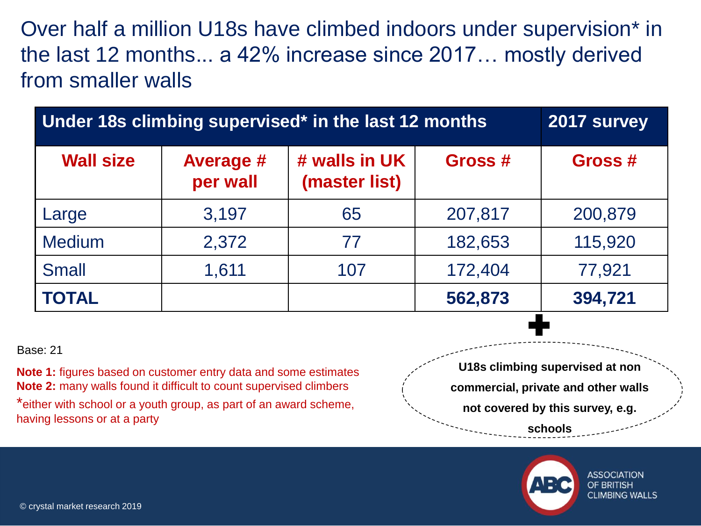Over half a million U18s have climbed indoors under supervision\* in the last 12 months... a 42% increase since 2017… mostly derived from smaller walls

| Under 18s climbing supervised* in the last 12 months | 2017 survey                  |                                |                   |         |
|------------------------------------------------------|------------------------------|--------------------------------|-------------------|---------|
| <b>Wall size</b>                                     | <b>Average #</b><br>per wall | # walls in UK<br>(master list) | Gross #           | Gross # |
| Large                                                | 3,197                        | 65                             | 207,817           | 200,879 |
| <b>Medium</b>                                        | 2,372                        | 77                             | 182,653           | 115,920 |
| <b>Small</b>                                         | 1,611                        | 172,404                        | 77,921            |         |
| <b>TOTAL</b>                                         |                              |                                | 562,873<br>$\sim$ | 394,721 |

#### Base: 21

**Note 1:** figures based on customer entry data and some estimates **Note 2:** many walls found it difficult to count supervised climbers \*either with school or a youth group, as part of an award scheme, having lessons or at a party

**U18s climbing supervised at non commercial, private and other walls not covered by this survey, e.g. schools**



ASSOCIATION OF BRITISH **CLIMBING WALLS**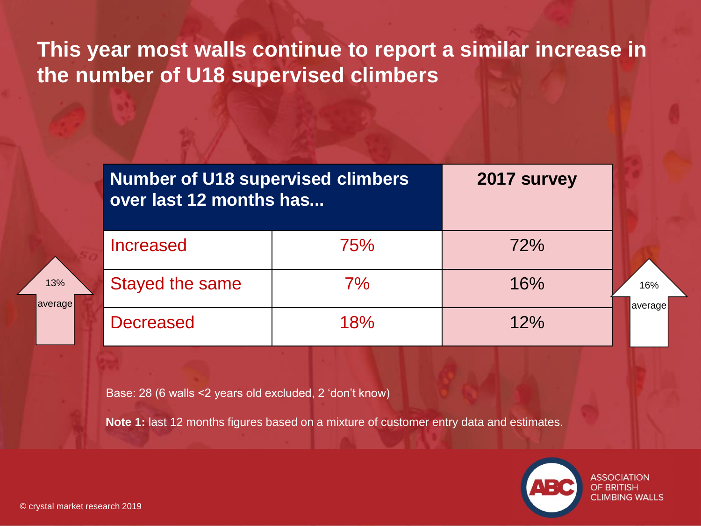## **This year most walls continue to report a similar increase in the number of U18 supervised climbers**

| <b>Number of U18 supervised climbers</b><br>over last 12 months has | 2017 survey |     |                |
|---------------------------------------------------------------------|-------------|-----|----------------|
| Increased                                                           | 75%         | 72% |                |
| Stayed the same                                                     | 7%          | 16% | 16%<br>average |
| <b>Decreased</b>                                                    | 18%         | 12% |                |

Base: 28 (6 walls <2 years old excluded, 2 'don't know)

**Note 1:** last 12 months figures based on a mixture of customer entry data and estimates.



© crystal market research 2019

13%

average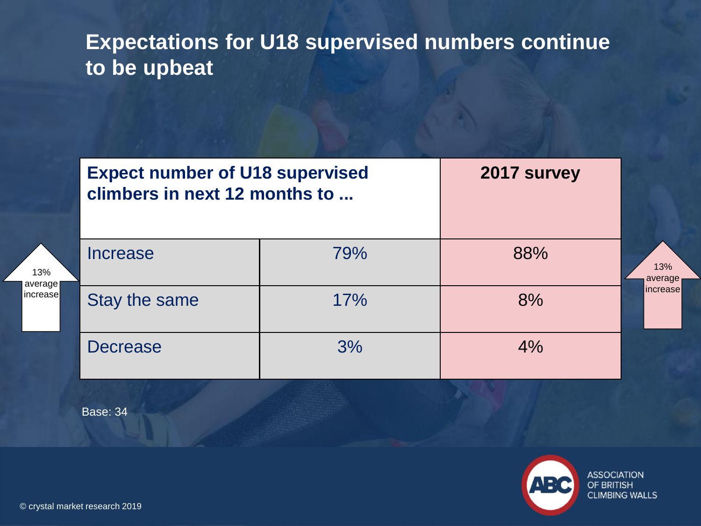## **Expectations for U18 supervised numbers continue to be upbeat**

|                     | <b>Expect number of U18 supervised</b><br>climbers in next 12 months to |     | 2017 survey |                |
|---------------------|-------------------------------------------------------------------------|-----|-------------|----------------|
| 13%                 | Increase                                                                | 79% | 88%         | 13%<br>average |
| average<br>increase | Stay the same                                                           | 17% | 8%          | increase       |
|                     | <b>Decrease</b>                                                         | 3%  | 4%          |                |

Base: 34

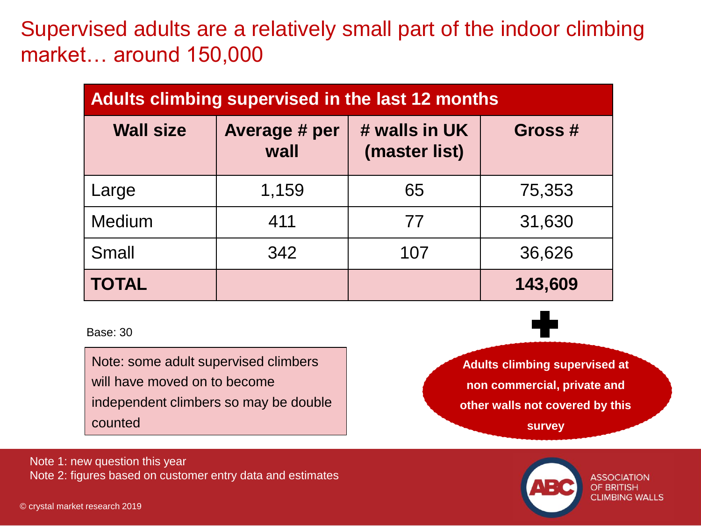Supervised adults are a relatively small part of the indoor climbing market… around 150,000

| <b>Adults climbing supervised in the last 12 months</b> |                       |                                |         |  |
|---------------------------------------------------------|-----------------------|--------------------------------|---------|--|
| <b>Wall size</b>                                        | Average # per<br>wall | # walls in UK<br>(master list) | Gross # |  |
| Large                                                   | 1,159                 | 65                             | 75,353  |  |
| <b>Medium</b>                                           | 411                   | 77                             | 31,630  |  |
| <b>Small</b>                                            | 342                   | 107                            | 36,626  |  |
| <b>TOTAL</b>                                            |                       |                                | 143,609 |  |

Base: 30

Note: some adult supervised climbers will have moved on to become independent climbers so may be double counted

**Adults climbing supervised at non commercial, private and other walls not covered by this survey**

Note 1: new question this year Note 2: figures based on customer entry data and estimates



**ASSOCIATION OF BRITISH CLIMBING WALLS**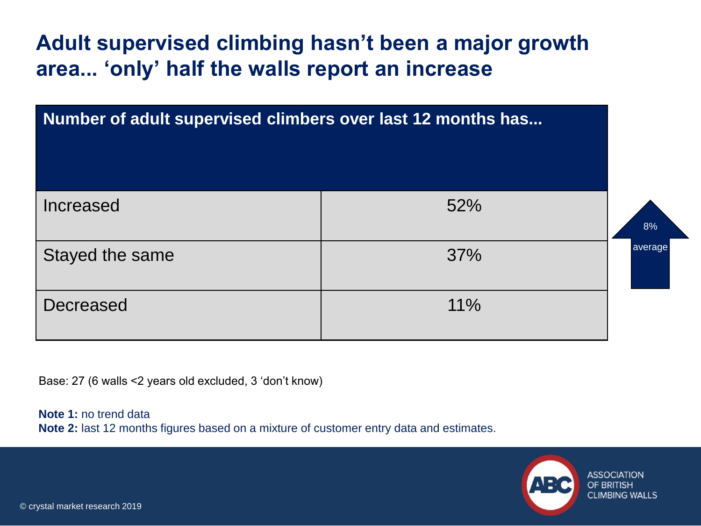**Adult supervised climbing hasn't been a major growth area... 'only' half the walls report an increase** 

| Number of adult supervised climbers over last 12 months has |     |         |
|-------------------------------------------------------------|-----|---------|
| Increased                                                   | 52% | 8%      |
| Stayed the same                                             | 37% | average |
| <b>Decreased</b>                                            | 11% |         |

Base: 27 (6 walls <2 years old excluded, 3 'don't know)

**Note 1:** no trend data **Note 2:** last 12 months figures based on a mixture of customer entry data and estimates.

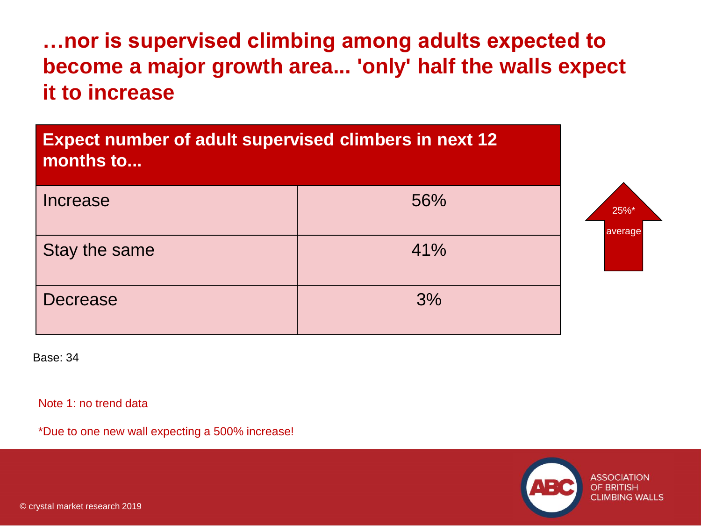**…nor is supervised climbing among adults expected to become a major growth area... 'only' half the walls expect it to increase**



Base: 34

Note 1: no trend data

\*Due to one new wall expecting a 500% increase!

**ASSOCIATION OF BRITISH CLIMBING WALLS**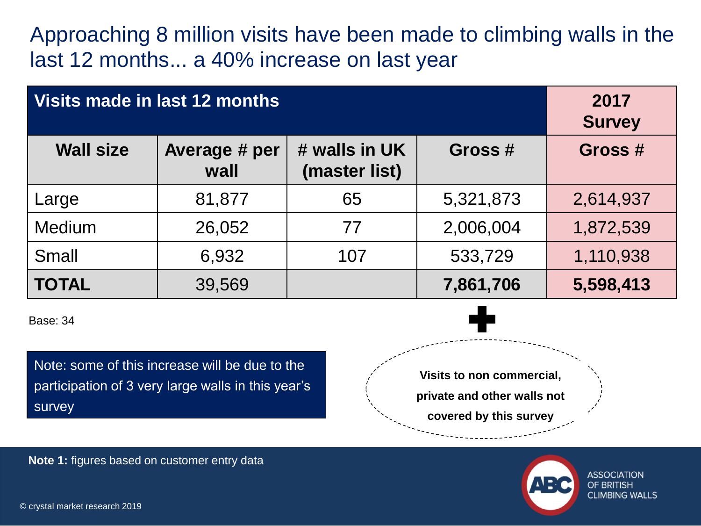Approaching 8 million visits have been made to climbing walls in the last 12 months... a 40% increase on last year

| Visits made in last 12 months |                       |                                |           | 2017<br><b>Survey</b> |
|-------------------------------|-----------------------|--------------------------------|-----------|-----------------------|
| <b>Wall size</b>              | Average # per<br>wall | # walls in UK<br>(master list) | Gross #   | Gross #               |
| Large                         | 81,877                | 65                             | 5,321,873 | 2,614,937             |
| <b>Medium</b>                 | 26,052                | 77                             | 2,006,004 | 1,872,539             |
| <b>Small</b>                  | 6,932                 | 107                            | 533,729   | 1,110,938             |
| <b>TOTAL</b>                  | 39,569                |                                | 7,861,706 | 5,598,413             |

Base: 34

Note: some of this increase will be due to the participation of 3 very large walls in this year's survey



**Note 1:** figures based on customer entry data



ASSOCIATION OF BRITISH **CLIMBING WALLS**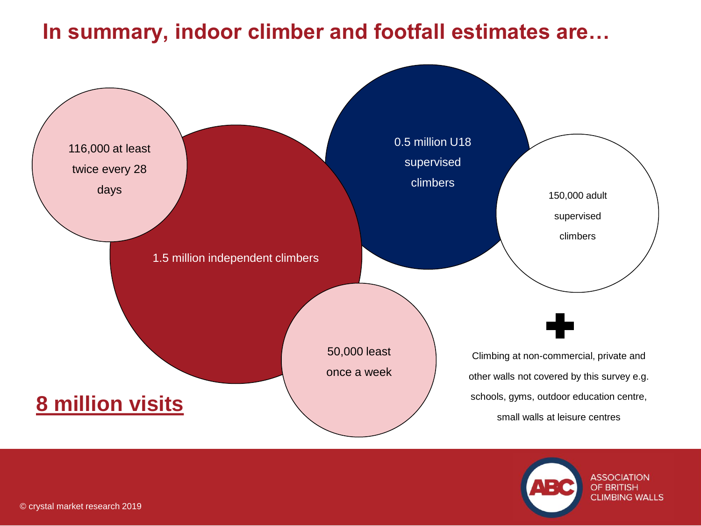## **In summary, indoor climber and footfall estimates are…**



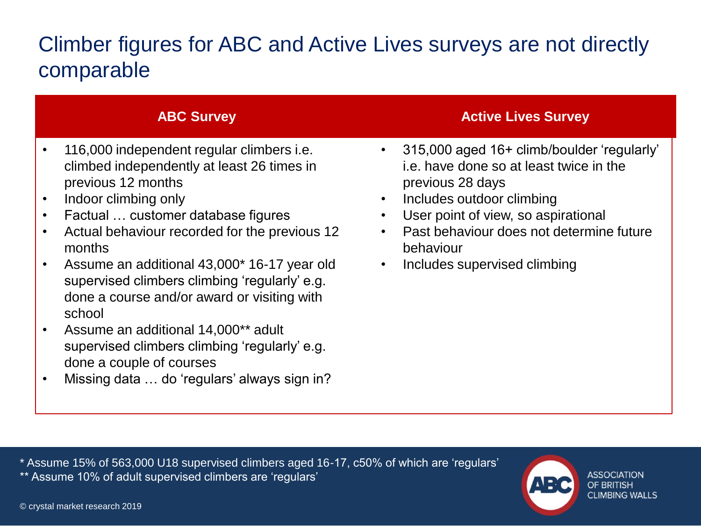## Climber figures for ABC and Active Lives surveys are not directly comparable

- 116,000 independent regular climbers i.e. climbed independently at least 26 times in previous 12 months
- Indoor climbing only
- Factual … customer database figures
- Actual behaviour recorded for the previous 12 months
- Assume an additional 43,000\* 16-17 year old supervised climbers climbing 'regularly' e.g. done a course and/or award or visiting with school
- Assume an additional 14,000\*\* adult supervised climbers climbing 'regularly' e.g. done a couple of courses
- Missing data … do 'regulars' always sign in?

#### **ABC Survey Active Lives Survey**

- 315,000 aged 16+ climb/boulder 'regularly' i.e. have done so at least twice in the previous 28 days
- Includes outdoor climbing
- User point of view, so aspirational
- Past behaviour does not determine future behaviour
- Includes supervised climbing

\* Assume 15% of 563,000 U18 supervised climbers aged 16-17, c50% of which are 'regulars' \*\* Assume 10% of adult supervised climbers are 'regulars'

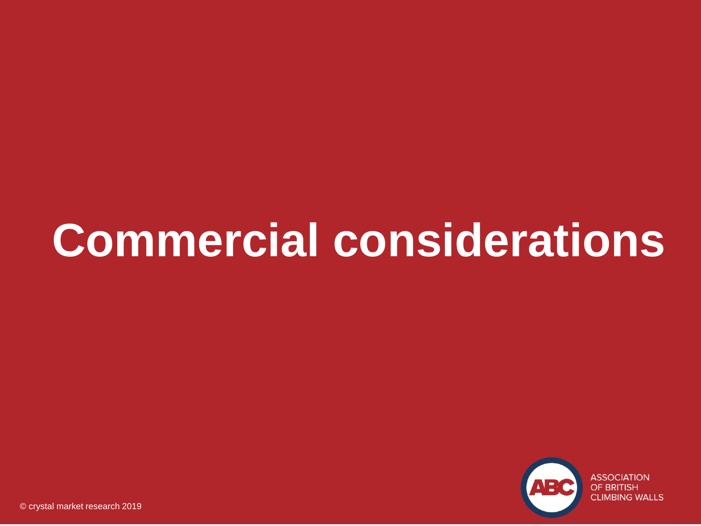## **Commercial considerations**

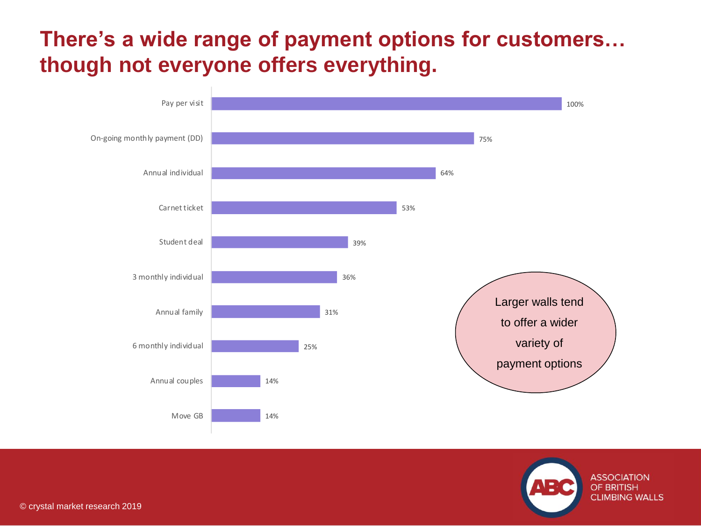## **There's a wide range of payment options for customers… though not everyone offers everything.**



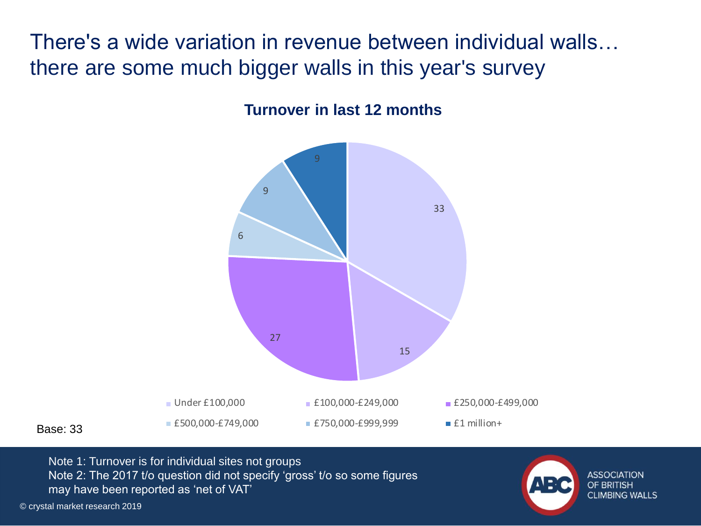There's a wide variation in revenue between individual walls… there are some much bigger walls in this year's survey



### **Turnover in last 12 months**

Base: 33

Note 1: Turnover is for individual sites not groups Note 2: The 2017 t/o question did not specify 'gross' t/o so some figures may have been reported as 'net of VAT'

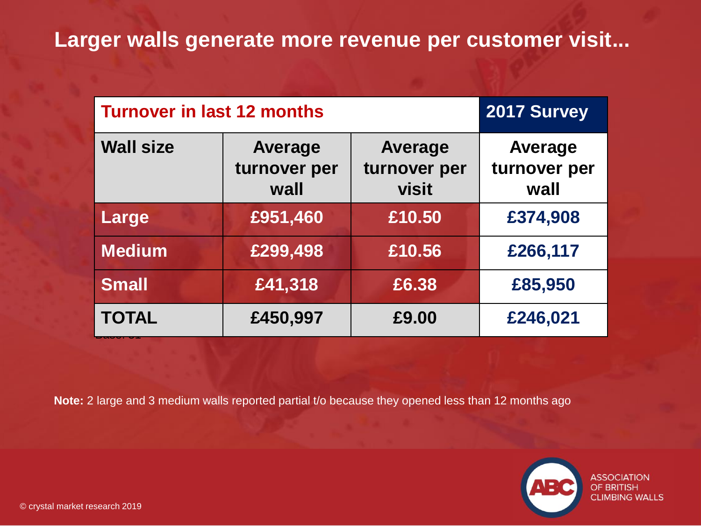## **Larger walls generate more revenue per customer visit...**

| <b>Turnover in last 12 months</b> | 2017 Survey                            |                                                |                                        |
|-----------------------------------|----------------------------------------|------------------------------------------------|----------------------------------------|
| <b>Wall size</b>                  | <b>Average</b><br>turnover per<br>wall | <b>Average</b><br>turnover per<br><b>visit</b> | <b>Average</b><br>turnover per<br>wall |
| Large                             | £951,460                               | £10.50                                         | £374,908                               |
| <b>Medium</b>                     | £299,498                               | £10.56                                         | £266,117                               |
| <b>Small</b>                      | £41,318                                | £6.38                                          | £85,950                                |
| <b>TOTAL</b>                      | £450,997                               | £9.00                                          | £246,021                               |

**Note:** 2 large and 3 medium walls reported partial t/o because they opened less than 12 months ago

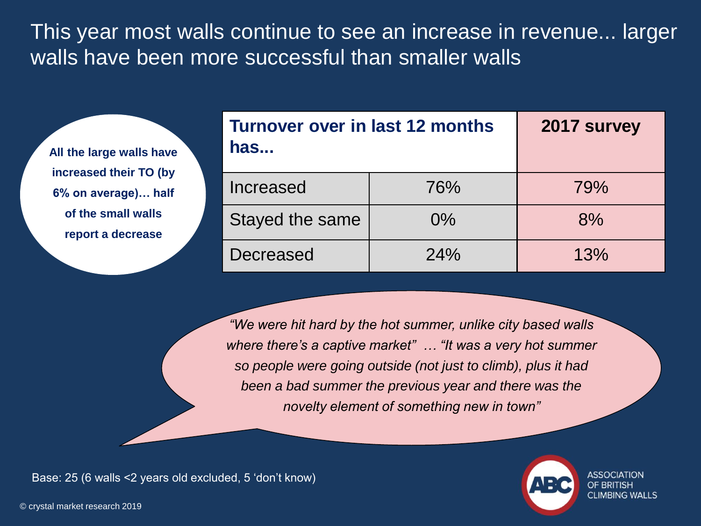This year most walls continue to see an increase in revenue... larger walls have been more successful than smaller walls

**All the large walls have increased their TO (by 6% on average)… half of the small walls report a decrease**

| Turnover over in last 12 months<br>has | 2017 survey |     |
|----------------------------------------|-------------|-----|
| Increased                              | 76%         | 79% |
| Stayed the same                        | $0\%$       | 8%  |
| Decreased                              | 24%         | 13% |

*"We were hit hard by the hot summer, unlike city based walls where there's a captive market" … "It was a very hot summer so people were going outside (not just to climb), plus it had been a bad summer the previous year and there was the novelty element of something new in town"*

Base: 25 (6 walls <2 years old excluded, 5 'don't know)



**CLIMBING WALLS**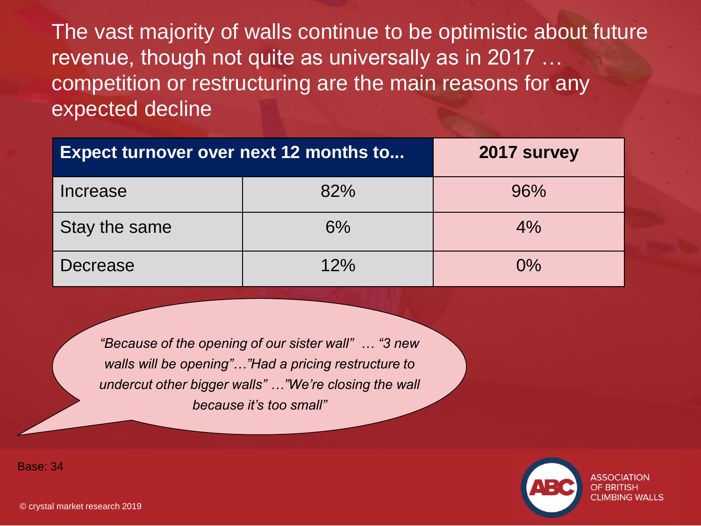The vast majority of walls continue to be optimistic about future revenue, though not quite as universally as in 2017 … competition or restructuring are the main reasons for any expected decline

| <b>Expect turnover over next 12 months to</b> | 2017 survey |       |
|-----------------------------------------------|-------------|-------|
| Increase                                      | 82%         | 96%   |
| Stay the same                                 | 6%          | $4\%$ |
| Decrease                                      | 12%         | $0\%$ |

*"Because of the opening of our sister wall" … "3 new walls will be opening"…"Had a pricing restructure to undercut other bigger walls" …"We're closing the wall because it's too small"*

> ASSOCIATION **OF BRITISH CLIMBING WALLS**

Base: 34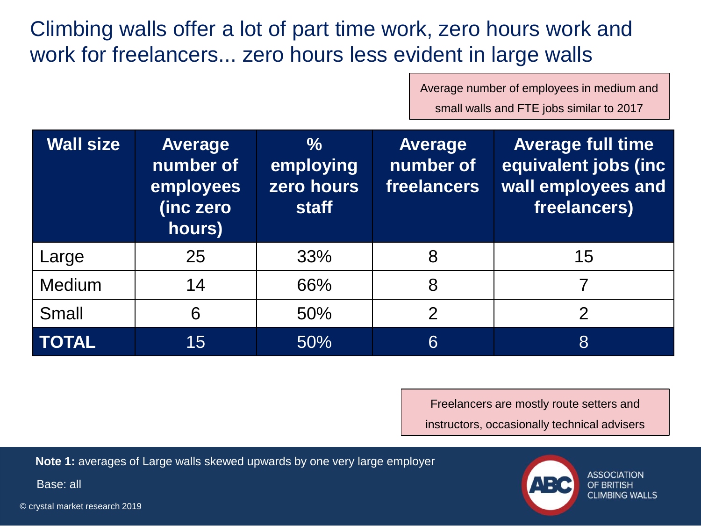Climbing walls offer a lot of part time work, zero hours work and work for freelancers... zero hours less evident in large walls

Average number of employees in medium and

small walls and FTE jobs similar to 2017

| <b>Wall size</b> | <b>Average</b><br>number of<br>employees<br>(inc zero<br>hours) | $\frac{0}{0}$<br>employing<br>zero hours<br><b>staff</b> | <b>Average</b><br>number of<br>freelancers | <b>Average full time</b><br>equivalent jobs (inc<br>wall employees and<br>freelancers) |
|------------------|-----------------------------------------------------------------|----------------------------------------------------------|--------------------------------------------|----------------------------------------------------------------------------------------|
| Large            | 25                                                              | 33%                                                      | 8                                          | 15                                                                                     |
| <b>Medium</b>    | 14                                                              | 66%                                                      | 8                                          |                                                                                        |
| Small            | 6                                                               | 50%                                                      | $\overline{2}$                             | $\overline{2}$                                                                         |
| <b>TOTAL</b>     | 15                                                              | 50%                                                      | 6                                          | 8                                                                                      |

Freelancers are mostly route setters and instructors, occasionally technical advisers

**Note 1:** averages of Large walls skewed upwards by one very large employer

Base: all



ASSOCIATION OF BRITISH **CLIMBING WALLS**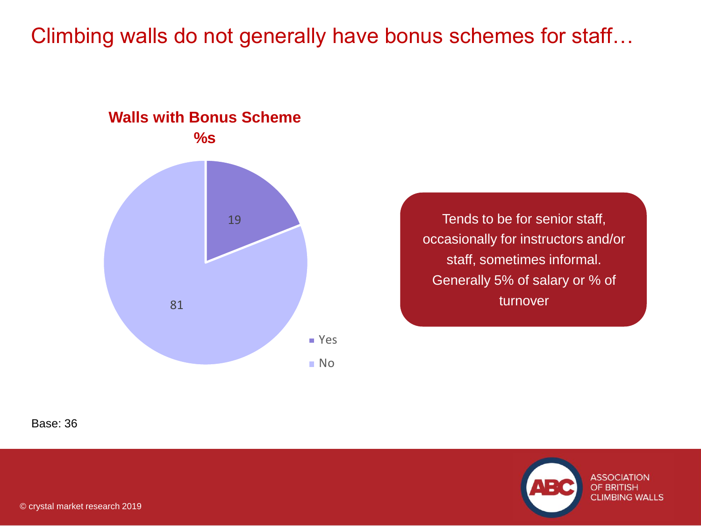### Climbing walls do not generally have bonus schemes for staff…



Tends to be for senior staff, occasionally for instructors and/or staff, sometimes informal. Generally 5% of salary or % of turnover

Base: 36

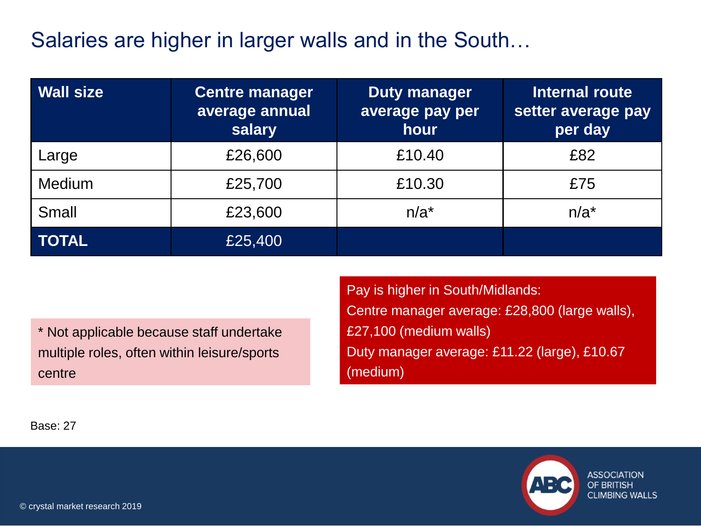## Salaries are higher in larger walls and in the South…

| <b>Wall size</b> | <b>Centre manager</b><br>average annual<br>salary | <b>Duty manager</b><br>average pay per<br>hour | Internal route<br>setter average pay<br>per day |
|------------------|---------------------------------------------------|------------------------------------------------|-------------------------------------------------|
| Large            | £26,600                                           | £10.40                                         | £82                                             |
| Medium           | £25,700                                           | £10.30                                         | £75                                             |
| Small            | £23,600                                           | $n/a^*$                                        | $n/a^*$                                         |
| <b>TOTAL</b>     | £25,400                                           |                                                |                                                 |

\* Not applicable because staff undertake multiple roles, often within leisure/sports centre

Pay is higher in South/Midlands: Centre manager average: £28,800 (large walls), £27,100 (medium walls) Duty manager average: £11.22 (large), £10.67 (medium)

Base: 27



**ASSOCIATION** OF BRITISH **CLIMBING WALLS**